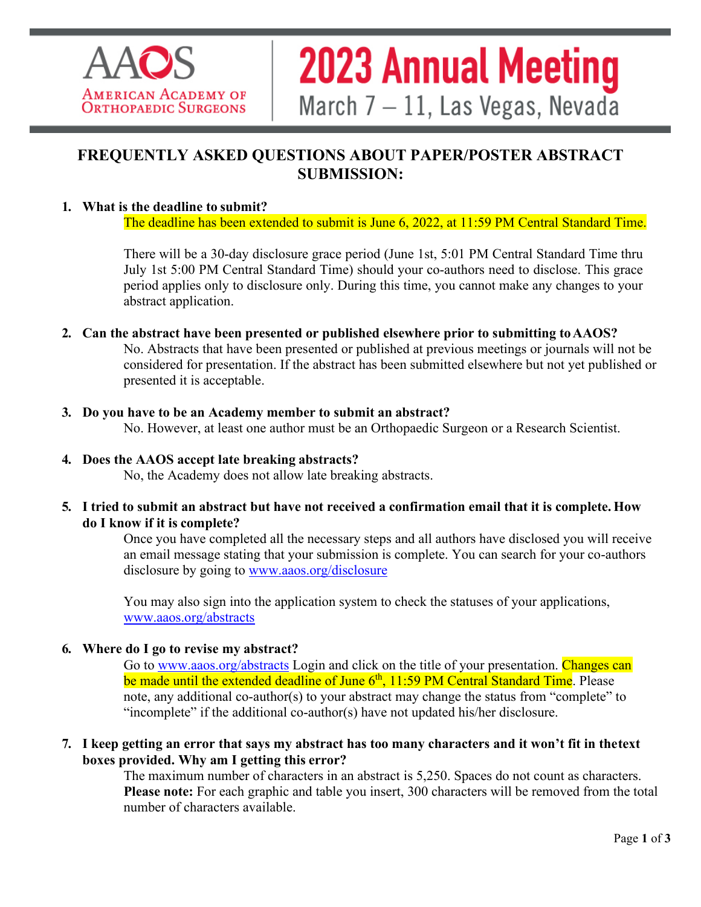

# **2023 Annual Meeting** March 7 - 11, Las Vegas, Nevada

# **FREQUENTLY ASKED QUESTIONS ABOUT PAPER/POSTER ABSTRACT SUBMISSION:**

### **1. What is the deadline to submit?**

The deadline has been extended to submit is June 6, 2022, at 11:59 PM Central Standard Time.

There will be a 30-day disclosure grace period (June 1st, 5:01 PM Central Standard Time thru July 1st 5:00 PM Central Standard Time) should your co-authors need to disclose. This grace period applies only to disclosure only. During this time, you cannot make any changes to your abstract application.

### **2. Can the abstract have been presented or published elsewhere prior to submitting toAAOS?**

No. Abstracts that have been presented or published at previous meetings or journals will not be considered for presentation. If the abstract has been submitted elsewhere but not yet published or presented it is acceptable.

**3. Do you have to be an Academy member to submit an abstract?** No. However, at least one author must be an Orthopaedic Surgeon or a Research Scientist.

# **4. Does the AAOS accept late breaking abstracts?**

No, the Academy does not allow late breaking abstracts.

5. I tried to submit an abstract but have not received a confirmation email that it is complete. How **do I know if it is complete?**

Once you have completed all the necessary steps and all authors have disclosed you will receive an email message stating that your submission is complete. You can search for your co-authors disclosure by going to [www.aaos.org/disclosure](http://www.aaos.org/disclosure)

You may also sign into the application system to check the statuses of your applications, [www.aaos.org/abstracts](http://www.aaos.org/abstracts)

# **6. Where do I go to revise my abstract?**

Go to [www.aaos.org/abstracts](http://www.aaos.org/abstracts) Login and click on the title of your presentation. Changes can be made until the extended deadline of June 6<sup>th</sup>, 11:59 PM Central Standard Time. Please note, any additional co-author(s) to your abstract may change the status from "complete" to "incomplete" if the additional co-author(s) have not updated his/her disclosure.

### **7. I keep getting an error that says my abstract has too many characters and it won't fit in thetext boxes provided. Why am I getting this error?**

The maximum number of characters in an abstract is 5,250. Spaces do not count as characters. **Please note:** For each graphic and table you insert, 300 characters will be removed from the total number of characters available.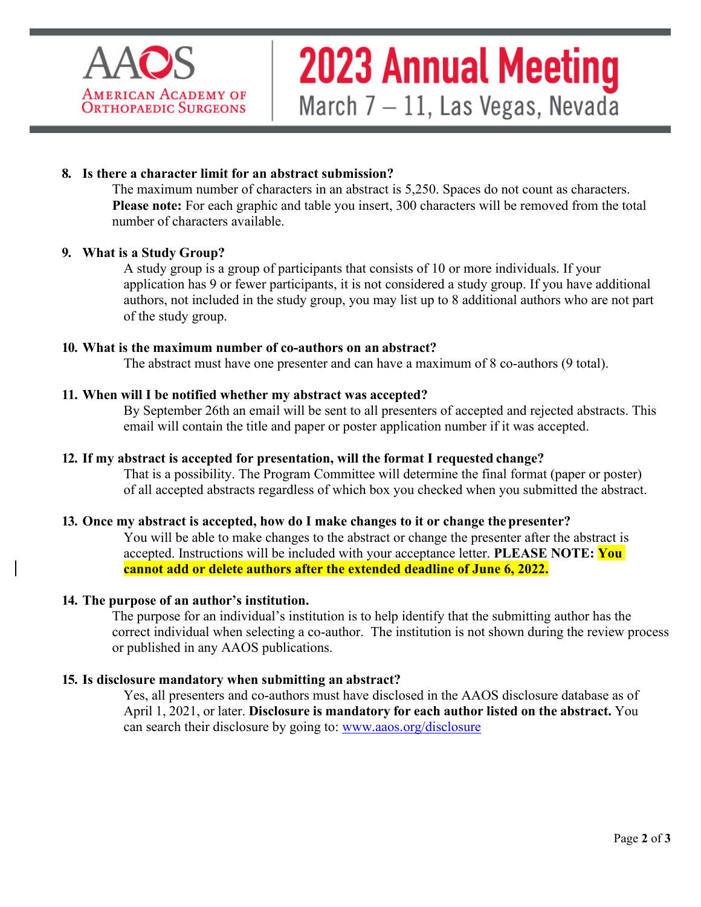

# **2023 Annual Meeting** March  $7-11$ , Las Vegas, Nevada

# **8. Is there a character limit for an abstract submission?**

The maximum number of characters in an abstract is 5,250. Spaces do not count as characters. **Please note:** For each graphic and table you insert, 300 characters will be removed from the total number of characters available.

#### **9. What is a Study Group?**

A study group is a group of participants that consists of 10 or more individuals. If your application has 9 or fewer participants, it is not considered a study group. If you have additional authors, not included in the study group, you may list up to 8 additional authors who are not part of the study group.

#### **10. What is the maximum number of co-authors on an abstract?**

The abstract must have one presenter and can have a maximum of 8 co-authors (9 total).

#### **11. When will I be notified whether my abstract was accepted?**

By September 26th an email will be sent to all presenters of accepted and rejected abstracts. This email will contain the title and paper or poster application number if it was accepted.

#### **12. If my abstract is accepted for presentation, will the format I requested change?**

That is a possibility. The Program Committee will determine the final format (paper or poster) of all accepted abstracts regardless of which box you checked when you submitted the abstract.

#### **13. Once my abstract is accepted, how do I make changes to it or change the presenter?**

You will be able to make changes to the abstract or change the presenter after the abstract is accepted. Instructions will be included with your acceptance letter. **PLEASE NOTE: You cannot add or delete authors after the extended deadline of June 6, 2022.**

#### **14. The purpose of an author's institution.**

The purpose for an individual's institution is to help identify that the submitting author has the correct individual when selecting a co-author. The institution is not shown during the review process or published in any AAOS publications.

#### **15. Is disclosure mandatory when submitting an abstract?**

Yes, all presenters and co-authors must have disclosed in the AAOS disclosure database as of April 1, 2021, or later. **Disclosure is mandatory for each author listed on the abstract.** You [can](http://www.aaos.org/disclosure) [search their disclosure by going to: www.aaos.org/disclosure](http://www.aaos.org/disclosure)